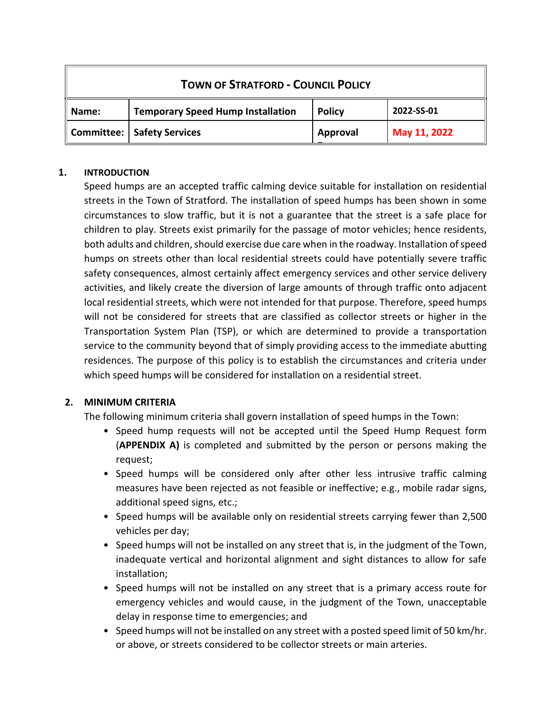| <b>TOWN OF STRATFORD - COUNCIL POLICY</b> |                                          |               |              |
|-------------------------------------------|------------------------------------------|---------------|--------------|
| Name:                                     | <b>Temporary Speed Hump Installation</b> | <b>Policy</b> | 2022-SS-01   |
|                                           | Committee:   Safety Services             | Approval      | May 11, 2022 |

## **1. INTRODUCTION**

Speed humps are an accepted traffic calming device suitable for installation on residential streets in the Town of Stratford. The installation of speed humps has been shown in some circumstances to slow traffic, but it is not a guarantee that the street is a safe place for children to play. Streets exist primarily for the passage of motor vehicles; hence residents, both adults and children, should exercise due care when in the roadway. Installation of speed humps on streets other than local residential streets could have potentially severe traffic safety consequences, almost certainly affect emergency services and other service delivery activities, and likely create the diversion of large amounts of through traffic onto adjacent local residential streets, which were not intended for that purpose. Therefore, speed humps will not be considered for streets that are classified as collector streets or higher in the Transportation System Plan (TSP), or which are determined to provide a transportation service to the community beyond that of simply providing access to the immediate abutting residences. The purpose of this policy is to establish the circumstances and criteria under which speed humps will be considered for installation on a residential street.

# **2. MINIMUM CRITERIA**

The following minimum criteria shall govern installation of speed humps in the Town:

- Speed hump requests will not be accepted until the Speed Hump Request form (**APPENDIX A)** is completed and submitted by the person or persons making the request;
- Speed humps will be considered only after other less intrusive traffic calming measures have been rejected as not feasible or ineffective; e.g., mobile radar signs, additional speed signs, etc.;
- Speed humps will be available only on residential streets carrying fewer than 2,500 vehicles per day;
- Speed humps will not be installed on any street that is, in the judgment of the Town, inadequate vertical and horizontal alignment and sight distances to allow for safe installation;
- Speed humps will not be installed on any street that is a primary access route for emergency vehicles and would cause, in the judgment of the Town, unacceptable delay in response time to emergencies; and
- Speed humps will not be installed on any street with a posted speed limit of 50 km/hr. or above, or streets considered to be collector streets or main arteries.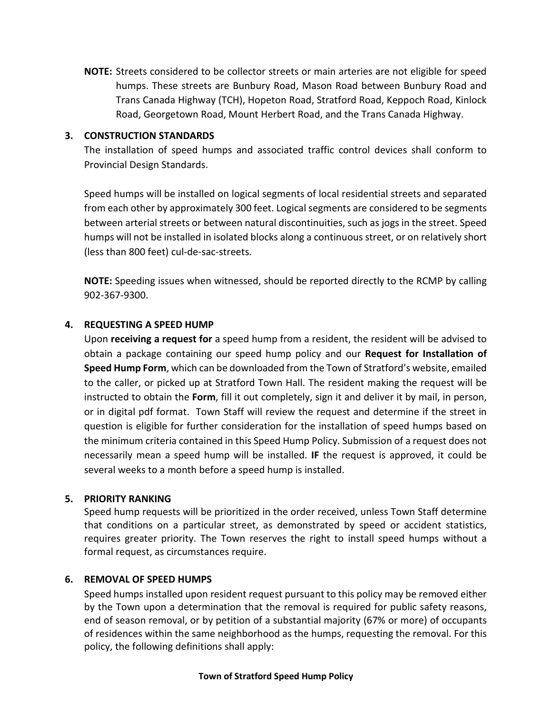**NOTE:** Streets considered to be collector streets or main arteries are not eligible for speed humps. These streets are Bunbury Road, Mason Road between Bunbury Road and Trans Canada Highway (TCH), Hopeton Road, Stratford Road, Keppoch Road, Kinlock Road, Georgetown Road, Mount Herbert Road, and the Trans Canada Highway.

## **3. CONSTRUCTION STANDARDS**

The installation of speed humps and associated traffic control devices shall conform to Provincial Design Standards.

Speed humps will be installed on logical segments of local residential streets and separated from each other by approximately 300 feet. Logical segments are considered to be segments between arterial streets or between natural discontinuities, such as jogs in the street. Speed humps will not be installed in isolated blocks along a continuous street, or on relatively short (less than 800 feet) cul-de-sac-streets.

**NOTE:** Speeding issues when witnessed, should be reported directly to the RCMP by calling 902-367-9300.

## **4. REQUESTING A SPEED HUMP**

Upon **receiving a request for** a speed hump from a resident, the resident will be advised to obtain a package containing our speed hump policy and our **Request for Installation of Speed Hump Form**, which can be downloaded from the Town of Stratford's website, emailed to the caller, or picked up at Stratford Town Hall. The resident making the request will be instructed to obtain the **Form**, fill it out completely, sign it and deliver it by mail, in person, or in digital pdf format. Town Staff will review the request and determine if the street in question is eligible for further consideration for the installation of speed humps based on the minimum criteria contained in this Speed Hump Policy. Submission of a request does not necessarily mean a speed hump will be installed. **IF** the request is approved, it could be several weeks to a month before a speed hump is installed.

## **5. PRIORITY RANKING**

Speed hump requests will be prioritized in the order received, unless Town Staff determine that conditions on a particular street, as demonstrated by speed or accident statistics, requires greater priority. The Town reserves the right to install speed humps without a formal request, as circumstances require.

## **6. REMOVAL OF SPEED HUMPS**

Speed humps installed upon resident request pursuant to this policy may be removed either by the Town upon a determination that the removal is required for public safety reasons, end of season removal, or by petition of a substantial majority (67% or more) of occupants of residences within the same neighborhood as the humps, requesting the removal. For this policy, the following definitions shall apply: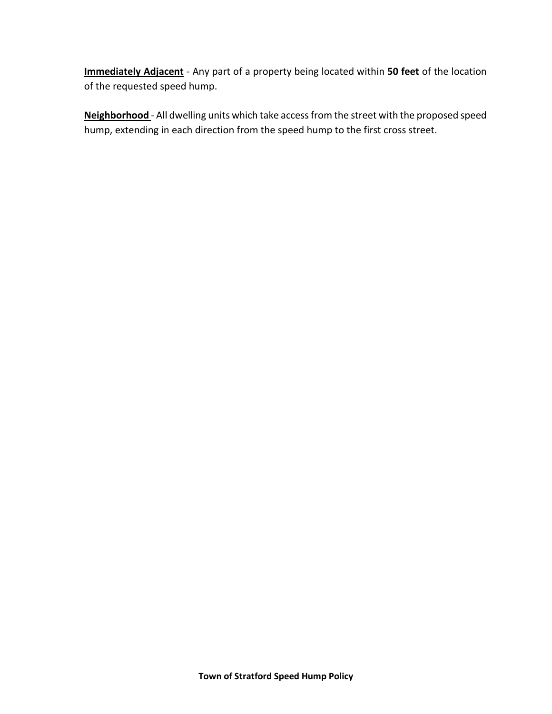**Immediately Adjacent** - Any part of a property being located within **50 feet** of the location of the requested speed hump.

**Neighborhood** - All dwelling units which take access from the street with the proposed speed hump, extending in each direction from the speed hump to the first cross street.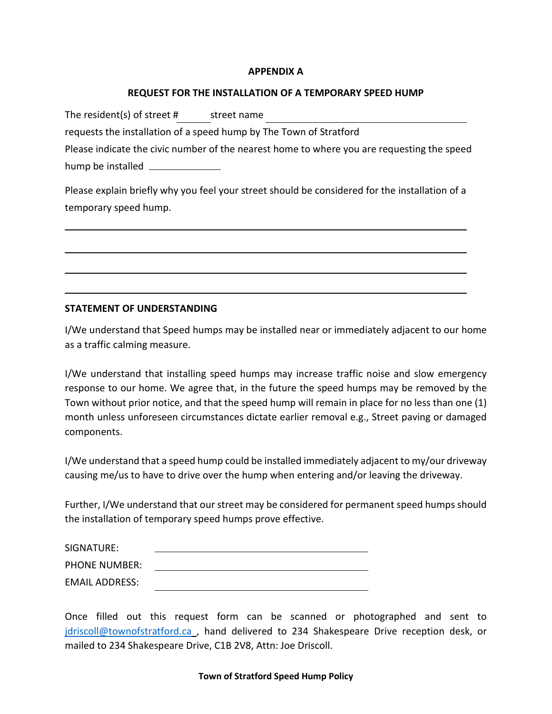#### **APPENDIX A**

#### **REQUEST FOR THE INSTALLATION OF A TEMPORARY SPEED HUMP**

The resident(s) of street # street name

requests the installation of a speed hump by The Town of Stratford

Please indicate the civic number of the nearest home to where you are requesting the speed hump be installed \_\_\_\_\_\_\_\_\_\_

Please explain briefly why you feel your street should be considered for the installation of a temporary speed hump.

## **STATEMENT OF UNDERSTANDING**

I/We understand that Speed humps may be installed near or immediately adjacent to our home as a traffic calming measure.

I/We understand that installing speed humps may increase traffic noise and slow emergency response to our home. We agree that, in the future the speed humps may be removed by the Town without prior notice, and that the speed hump will remain in place for no less than one (1) month unless unforeseen circumstances dictate earlier removal e.g., Street paving or damaged components.

I/We understand that a speed hump could be installed immediately adjacent to my/our driveway causing me/us to have to drive over the hump when entering and/or leaving the driveway.

Further, I/We understand that our street may be considered for permanent speed humps should the installation of temporary speed humps prove effective.

| SIGNATURE:            |  |
|-----------------------|--|
| <b>PHONE NUMBER:</b>  |  |
| <b>EMAIL ADDRESS:</b> |  |

Once filled out this request form can be scanned or photographed and sent to [jdriscoll@townofstratford.ca](mailto:jdriscoll@townofstratford.ca) , hand delivered to 234 Shakespeare Drive reception desk, or mailed to 234 Shakespeare Drive, C1B 2V8, Attn: Joe Driscoll.

#### **Town of Stratford Speed Hump Policy**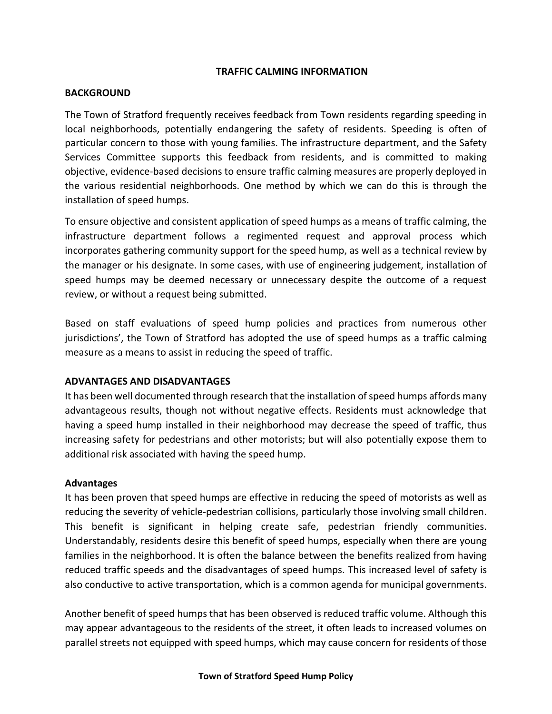## **TRAFFIC CALMING INFORMATION**

## **BACKGROUND**

The Town of Stratford frequently receives feedback from Town residents regarding speeding in local neighborhoods, potentially endangering the safety of residents. Speeding is often of particular concern to those with young families. The infrastructure department, and the Safety Services Committee supports this feedback from residents, and is committed to making objective, evidence-based decisions to ensure traffic calming measures are properly deployed in the various residential neighborhoods. One method by which we can do this is through the installation of speed humps.

To ensure objective and consistent application of speed humps as a means of traffic calming, the infrastructure department follows a regimented request and approval process which incorporates gathering community support for the speed hump, as well as a technical review by the manager or his designate. In some cases, with use of engineering judgement, installation of speed humps may be deemed necessary or unnecessary despite the outcome of a request review, or without a request being submitted.

Based on staff evaluations of speed hump policies and practices from numerous other jurisdictions', the Town of Stratford has adopted the use of speed humps as a traffic calming measure as a means to assist in reducing the speed of traffic.

## **ADVANTAGES AND DISADVANTAGES**

It has been well documented through research that the installation of speed humps affords many advantageous results, though not without negative effects. Residents must acknowledge that having a speed hump installed in their neighborhood may decrease the speed of traffic, thus increasing safety for pedestrians and other motorists; but will also potentially expose them to additional risk associated with having the speed hump.

#### **Advantages**

It has been proven that speed humps are effective in reducing the speed of motorists as well as reducing the severity of vehicle-pedestrian collisions, particularly those involving small children. This benefit is significant in helping create safe, pedestrian friendly communities. Understandably, residents desire this benefit of speed humps, especially when there are young families in the neighborhood. It is often the balance between the benefits realized from having reduced traffic speeds and the disadvantages of speed humps. This increased level of safety is also conductive to active transportation, which is a common agenda for municipal governments.

Another benefit of speed humps that has been observed is reduced traffic volume. Although this may appear advantageous to the residents of the street, it often leads to increased volumes on parallel streets not equipped with speed humps, which may cause concern for residents of those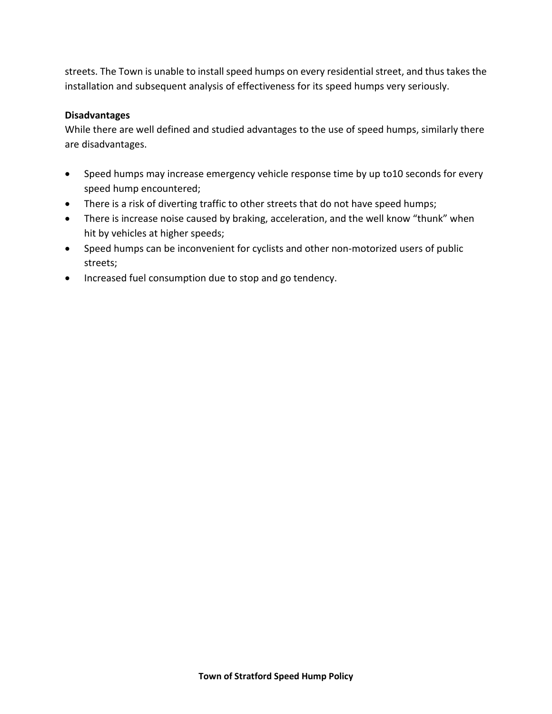streets. The Town is unable to install speed humps on every residential street, and thus takes the installation and subsequent analysis of effectiveness for its speed humps very seriously.

## **Disadvantages**

While there are well defined and studied advantages to the use of speed humps, similarly there are disadvantages.

- Speed humps may increase emergency vehicle response time by up to10 seconds for every speed hump encountered;
- There is a risk of diverting traffic to other streets that do not have speed humps;
- There is increase noise caused by braking, acceleration, and the well know "thunk" when hit by vehicles at higher speeds;
- Speed humps can be inconvenient for cyclists and other non-motorized users of public streets;
- Increased fuel consumption due to stop and go tendency.